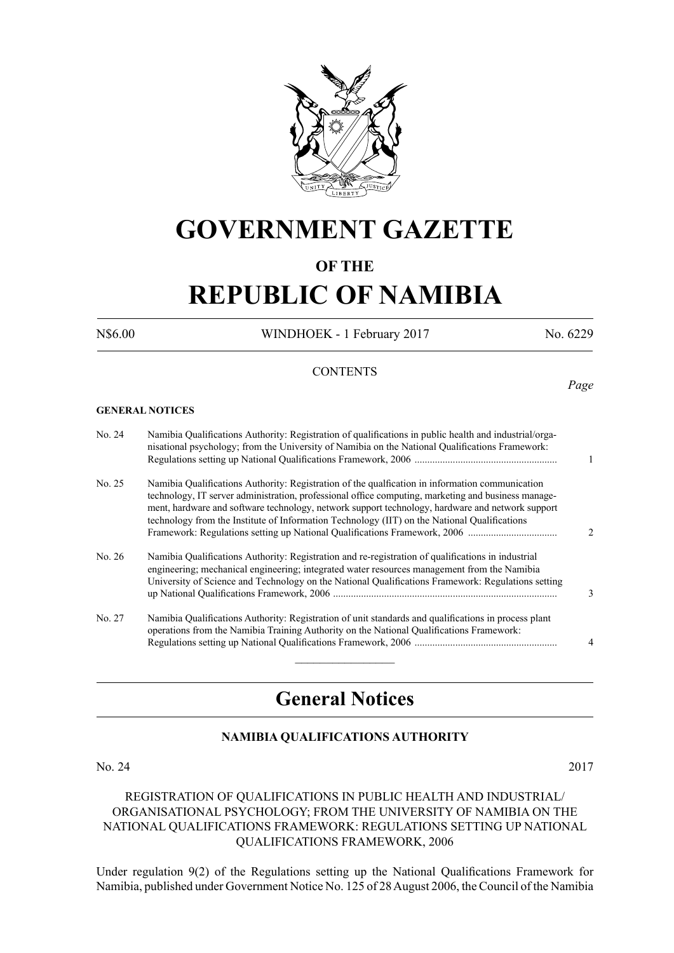

# **GOVERNMENT GAZETTE**

# **OF THE**

# **REPUBLIC OF NAMIBIA**

N\$6.00 WINDHOEK - 1 February 2017 No. 6229

*Page*

# **CONTENTS**

**GENERAL NOTICES**

| No. 24 | Namibia Qualifications Authority: Registration of qualifications in public health and industrial/orga-<br>nisational psychology; from the University of Namibia on the National Qualifications Framework:                                                                                                                                                                                                  | 1                             |
|--------|------------------------------------------------------------------------------------------------------------------------------------------------------------------------------------------------------------------------------------------------------------------------------------------------------------------------------------------------------------------------------------------------------------|-------------------------------|
| No. 25 | Namibia Qualifications Authority: Registration of the qualifcation in information communication<br>technology, IT server administration, professional office computing, marketing and business manage-<br>ment, hardware and software technology, network support technology, hardware and network support<br>technology from the Institute of Information Technology (IIT) on the National Qualifications | $\mathfrak{D}_{\mathfrak{p}}$ |
| No. 26 | Namibia Qualifications Authority: Registration and re-registration of qualifications in industrial<br>engineering; mechanical engineering; integrated water resources management from the Namibia<br>University of Science and Technology on the National Qualifications Framework: Regulations setting                                                                                                    | 3                             |
| No. 27 | Namibia Qualifications Authority: Registration of unit standards and qualifications in process plant<br>operations from the Namibia Training Authority on the National Qualifications Framework:                                                                                                                                                                                                           | 4                             |

# **General Notices**

# **NAMIBIA QUALIFICATIONS AUTHORITY**

#### No. 24 2017

# REGISTRATION OF QUALIFICATIONS IN PUBLIC HEALTH AND INDUSTRIAL/ ORGANISATIONAL PSYCHOLOGY; FROM THE UNIVERSITY OF NAMIBIA ON THE NATIONAL QUALIFICATIONS FRAMEWORK: REGULATIONS SETTING UP NATIONAL QUALIFICATIONS FRAMEWORK, 2006

Under regulation 9(2) of the Regulations setting up the National Qualifications Framework for Namibia, published under Government Notice No. 125 of 28 August 2006, the Council of the Namibia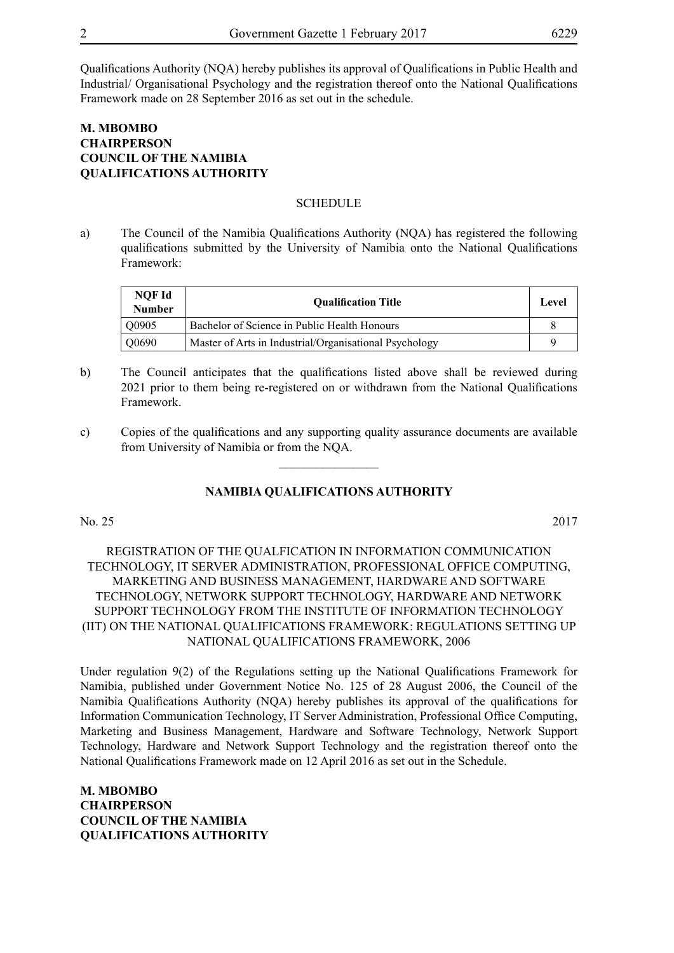Qualifications Authority (NQA) hereby publishes its approval of Qualifications in Public Health and Industrial/ Organisational Psychology and the registration thereof onto the National Qualifications Framework made on 28 September 2016 as set out in the schedule.

# **M. Mbombo Chairperson COUNCIL OF THE NAMIBIA QUALIFICATIONS AUTHORITY**

#### **SCHEDULE**

a) The Council of the Namibia Qualifications Authority (NQA) has registered the following qualifications submitted by the University of Namibia onto the National Qualifications Framework:

| NOF Id<br><b>Number</b> | <b>Oualification Title</b>                             | Level |
|-------------------------|--------------------------------------------------------|-------|
| O0905                   | Bachelor of Science in Public Health Honours           |       |
| Q0690                   | Master of Arts in Industrial/Organisational Psychology | c     |

- b) The Council anticipates that the qualifications listed above shall be reviewed during 2021 prior to them being re-registered on or withdrawn from the National Qualifications Framework.
- c) Copies of the qualifications and any supporting quality assurance documents are available from University of Namibia or from the NQA.  $\frac{1}{2}$

#### **NAMIBIA QUALIFICATIONS AUTHORITY**

#### No. 25 2017

REGISTRATION OF THE QUALFICATION IN INFORMATION COMMUNICATION TECHNOLOGY, IT SERVER ADMINISTRATION, PROFESSIONAL OFFICE COMPUTING, MARKETING AND BUSINESS MANAGEMENT, HARDWARE AND SOFTWARE TECHNOLOGY, NETWORK SUPPORT TECHNOLOGY, HARDWARE AND NETWORK SUPPORT TECHNOLOGY FROM THE INSTITUTE OF INFORMATION TECHNOLOGY (IIT) ON THE NATIONAL QUALIFICATIONS FRAMEWORK: REGULATIONS SETTING UP NATIONAL QUALIFICATIONS FRAMEWORK, 2006

Under regulation 9(2) of the Regulations setting up the National Qualifications Framework for Namibia, published under Government Notice No. 125 of 28 August 2006, the Council of the Namibia Qualifications Authority (NQA) hereby publishes its approval of the qualifications for Information Communication Technology, IT Server Administration, Professional Office Computing, Marketing and Business Management, Hardware and Software Technology, Network Support Technology, Hardware and Network Support Technology and the registration thereof onto the National Qualifications Framework made on 12 April 2016 as set out in the Schedule.

**M. Mbombo Chairperson COUNCIL OF THE NAMIBIA QUALIFICATIONS AUTHORITY**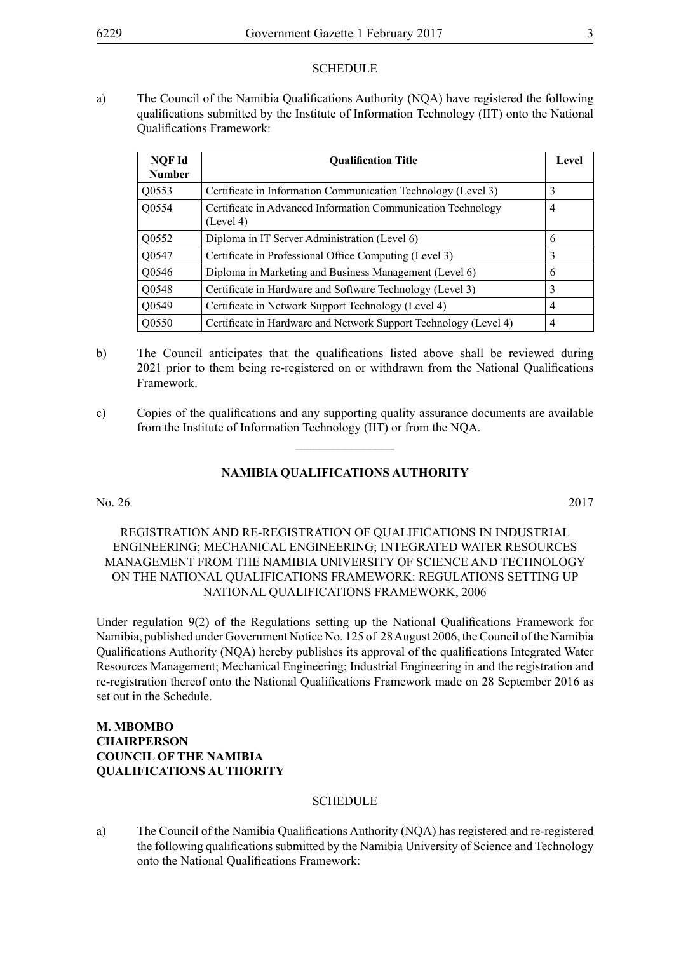#### **SCHEDULE**

a) The Council of the Namibia Qualifications Authority (NQA) have registered the following qualifications submitted by the Institute of Information Technology (IIT) onto the National Qualifications Framework:

| NQF Id<br><b>Number</b> | <b>Oualification Title</b>                                                | Level          |
|-------------------------|---------------------------------------------------------------------------|----------------|
| Q0553                   | Certificate in Information Communication Technology (Level 3)             | 3              |
| Q0554                   | Certificate in Advanced Information Communication Technology<br>(Level 4) | $\overline{4}$ |
| Q0552                   | Diploma in IT Server Administration (Level 6)                             | 6              |
| Q0547                   | Certificate in Professional Office Computing (Level 3)                    | 3              |
| Q0546                   | Diploma in Marketing and Business Management (Level 6)                    | 6              |
| Q0548                   | Certificate in Hardware and Software Technology (Level 3)                 | 3              |
| Q0549                   | Certificate in Network Support Technology (Level 4)                       | 4              |
| Q0550                   | Certificate in Hardware and Network Support Technology (Level 4)          | $\overline{4}$ |

- b) The Council anticipates that the qualifications listed above shall be reviewed during 2021 prior to them being re-registered on or withdrawn from the National Qualifications Framework.
- c) Copies of the qualifications and any supporting quality assurance documents are available from the Institute of Information Technology (IIT) or from the NQA.

 $\frac{1}{2}$ 

### **NAMIBIA QUALIFICATIONS AUTHORITY**

#### No. 26 2017

REGISTRATION AND RE-REGISTRATION OF QUALIFICATIONS IN INDUSTRIAL ENGINEERING; MECHANICAL ENGINEERING; INTEGRATED WATER RESOURCES MANAGEMENT FROM THE NAMIBIA UNIVERSITY OF SCIENCE AND TECHNOLOGY ON THE NATIONAL QUALIFICATIONS FRAMEWORK: REGULATIONS SETTING UP NATIONAL QUALIFICATIONS FRAMEWORK, 2006

Under regulation 9(2) of the Regulations setting up the National Qualifications Framework for Namibia, published under Government Notice No. 125 of 28 August 2006, the Council of the Namibia Qualifications Authority (NQA) hereby publishes its approval of the qualifications Integrated Water Resources Management; Mechanical Engineering; Industrial Engineering in and the registration and re-registration thereof onto the National Qualifications Framework made on 28 September 2016 as set out in the Schedule.

# **M. Mbombo Chairperson COUNCIL OF THE NAMIBIA QUALIFICATIONS AUTHORITY**

#### **SCHEDULE**

a) The Council of the Namibia Qualifications Authority (NQA) has registered and re-registered the following qualifications submitted by the Namibia University of Science and Technology onto the National Qualifications Framework: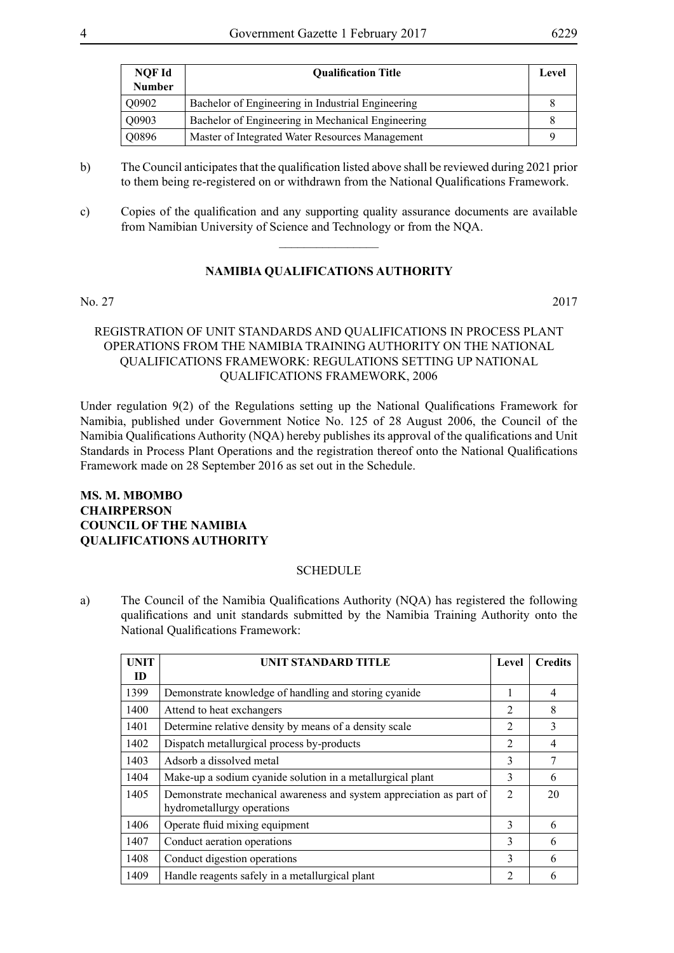| NQF Id<br><b>Number</b> | <b>Oualification Title</b>                        | Level |
|-------------------------|---------------------------------------------------|-------|
| Q0902                   | Bachelor of Engineering in Industrial Engineering |       |
| Q0903                   | Bachelor of Engineering in Mechanical Engineering |       |
| Q0896                   | Master of Integrated Water Resources Management   |       |

- b) The Council anticipates that the qualification listed above shall be reviewed during 2021 prior to them being re-registered on or withdrawn from the National Qualifications Framework.
- c) Copies of the qualification and any supporting quality assurance documents are available from Namibian University of Science and Technology or from the NQA.

 $\overline{\phantom{a}}$  , where  $\overline{\phantom{a}}$ 

# **NAMIBIA QUALIFICATIONS AUTHORITY**

No. 27 2017

# REGISTRATION OF UNIT STANDARDS AND QUALIFICATIONS IN PROCESS PLANT OPERATIONS FROM THE NAMIBIA TRAINING AUTHORITY ON THE NATIONAL QUALIFICATIONS FRAMEWORK: REGULATIONS SETTING UP NATIONAL QUALIFICATIONS FRAMEWORK, 2006

Under regulation 9(2) of the Regulations setting up the National Qualifications Framework for Namibia, published under Government Notice No. 125 of 28 August 2006, the Council of the Namibia Qualifications Authority (NQA) hereby publishes its approval of the qualifications and Unit Standards in Process Plant Operations and the registration thereof onto the National Qualifications Framework made on 28 September 2016 as set out in the Schedule.

# **Ms. M. Mbombo Chairperson COUNCIL OF THE NAMIBIA QUALIFICATIONS AUTHORITY**

#### **SCHEDULE**

a) The Council of the Namibia Qualifications Authority (NQA) has registered the following qualifications and unit standards submitted by the Namibia Training Authority onto the National Qualifications Framework:

| UNIT | UNIT STANDARD TITLE                                                                               | Level          | <b>Credits</b> |
|------|---------------------------------------------------------------------------------------------------|----------------|----------------|
| ID   |                                                                                                   |                |                |
| 1399 | Demonstrate knowledge of handling and storing cyanide                                             |                | $\overline{4}$ |
| 1400 | Attend to heat exchangers                                                                         | $\mathfrak{D}$ | 8              |
| 1401 | Determine relative density by means of a density scale                                            | $\mathfrak{D}$ | 3              |
| 1402 | Dispatch metallurgical process by-products                                                        | $\overline{2}$ | 4              |
| 1403 | Adsorb a dissolved metal                                                                          | 3              | 7              |
| 1404 | Make-up a sodium cyanide solution in a metallurgical plant                                        | 3              | 6              |
| 1405 | Demonstrate mechanical awareness and system appreciation as part of<br>hydrometallurgy operations | $\overline{2}$ | 20             |
| 1406 | Operate fluid mixing equipment                                                                    | 3              | 6              |
| 1407 | Conduct aeration operations                                                                       | 3              | 6              |
| 1408 | Conduct digestion operations                                                                      | 3              | 6              |
| 1409 | Handle reagents safely in a metallurgical plant                                                   | 2              | 6              |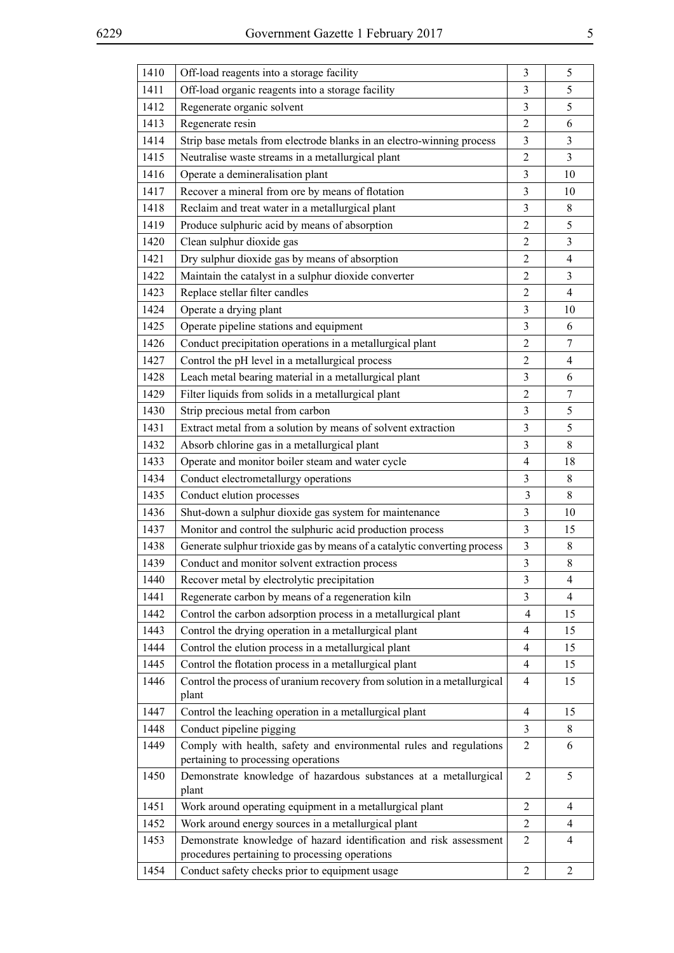| 1410 | Off-load reagents into a storage facility                                                                            | 3                       | 5              |
|------|----------------------------------------------------------------------------------------------------------------------|-------------------------|----------------|
| 1411 | Off-load organic reagents into a storage facility                                                                    | 3                       | 5              |
| 1412 | Regenerate organic solvent                                                                                           | 3                       | 5              |
| 1413 | Regenerate resin                                                                                                     | $\overline{2}$          | 6              |
| 1414 | Strip base metals from electrode blanks in an electro-winning process                                                | 3                       | 3              |
| 1415 | Neutralise waste streams in a metallurgical plant                                                                    | $\overline{2}$          | 3              |
| 1416 | Operate a demineralisation plant                                                                                     | 3                       | 10             |
| 1417 | Recover a mineral from ore by means of flotation                                                                     | 3                       | 10             |
| 1418 | Reclaim and treat water in a metallurgical plant                                                                     | 3                       | 8              |
| 1419 | Produce sulphuric acid by means of absorption                                                                        | $\overline{2}$          | 5              |
| 1420 | Clean sulphur dioxide gas                                                                                            | $\overline{2}$          | 3              |
| 1421 | Dry sulphur dioxide gas by means of absorption                                                                       | $\overline{2}$          | $\overline{4}$ |
| 1422 | Maintain the catalyst in a sulphur dioxide converter                                                                 | $\overline{2}$          | 3              |
| 1423 | Replace stellar filter candles                                                                                       | $\overline{2}$          | $\overline{4}$ |
| 1424 | Operate a drying plant                                                                                               | $\overline{\mathbf{3}}$ | 10             |
| 1425 | Operate pipeline stations and equipment                                                                              | 3                       | 6              |
| 1426 | Conduct precipitation operations in a metallurgical plant                                                            | $\overline{2}$          | 7              |
| 1427 | Control the pH level in a metallurgical process                                                                      | $\overline{2}$          | 4              |
| 1428 | Leach metal bearing material in a metallurgical plant                                                                | 3                       | 6              |
| 1429 | Filter liquids from solids in a metallurgical plant                                                                  | $\overline{2}$          | 7              |
| 1430 | Strip precious metal from carbon                                                                                     | 3                       | 5              |
| 1431 | Extract metal from a solution by means of solvent extraction                                                         | 3                       | 5              |
| 1432 | Absorb chlorine gas in a metallurgical plant                                                                         | $\overline{\mathbf{3}}$ | 8              |
| 1433 | Operate and monitor boiler steam and water cycle                                                                     | $\overline{4}$          | 18             |
| 1434 | Conduct electrometallurgy operations                                                                                 | $\overline{\mathbf{3}}$ | 8              |
| 1435 | Conduct elution processes                                                                                            | $\overline{3}$          | 8              |
| 1436 | Shut-down a sulphur dioxide gas system for maintenance                                                               | 3                       | 10             |
| 1437 | Monitor and control the sulphuric acid production process                                                            | $\overline{3}$          | 15             |
| 1438 | Generate sulphur trioxide gas by means of a catalytic converting process                                             | 3                       | $\,$ 8 $\,$    |
| 1439 | Conduct and monitor solvent extraction process                                                                       | 3                       | 8              |
| 1440 | Recover metal by electrolytic precipitation                                                                          | 3                       | 4              |
| 1441 | Regenerate carbon by means of a regeneration kiln                                                                    | 3                       | $\overline{4}$ |
| 1442 | Control the carbon adsorption process in a metallurgical plant                                                       | $\overline{4}$          | 15             |
| 1443 | Control the drying operation in a metallurgical plant                                                                | $\overline{4}$          | 15             |
| 1444 | Control the elution process in a metallurgical plant                                                                 | $\overline{4}$          | 15             |
| 1445 | Control the flotation process in a metallurgical plant                                                               | $\overline{4}$          | 15             |
| 1446 | Control the process of uranium recovery from solution in a metallurgical<br>plant                                    | $\overline{4}$          | 15             |
| 1447 | Control the leaching operation in a metallurgical plant                                                              | $\overline{4}$          | 15             |
| 1448 | Conduct pipeline pigging                                                                                             | $\overline{3}$          | 8              |
| 1449 | Comply with health, safety and environmental rules and regulations<br>pertaining to processing operations            | $\overline{2}$          | 6              |
| 1450 | Demonstrate knowledge of hazardous substances at a metallurgical<br>plant                                            | 2                       | 5              |
| 1451 | Work around operating equipment in a metallurgical plant                                                             | $\overline{2}$          | 4              |
| 1452 | Work around energy sources in a metallurgical plant                                                                  | $\overline{2}$          | 4              |
| 1453 | Demonstrate knowledge of hazard identification and risk assessment<br>procedures pertaining to processing operations | 2                       | 4              |

1454 Conduct safety checks prior to equipment usage 2 2 2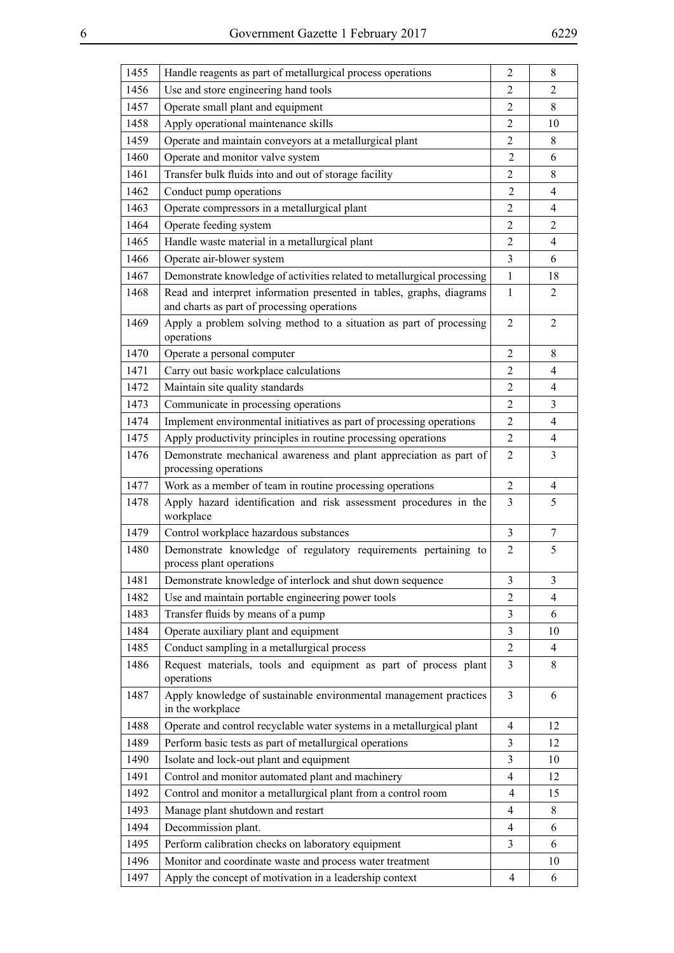| 1455 | Handle reagents as part of metallurgical process operations                                                         | 2                        | 8              |
|------|---------------------------------------------------------------------------------------------------------------------|--------------------------|----------------|
| 1456 | Use and store engineering hand tools                                                                                | $\overline{2}$           | $\overline{2}$ |
| 1457 | Operate small plant and equipment                                                                                   | $\overline{2}$           | 8              |
| 1458 | Apply operational maintenance skills                                                                                | $\overline{2}$           | 10             |
| 1459 | Operate and maintain conveyors at a metallurgical plant                                                             | 2                        | 8              |
| 1460 | Operate and monitor valve system                                                                                    | $\overline{2}$           | 6              |
| 1461 | Transfer bulk fluids into and out of storage facility                                                               | $\overline{2}$           | 8              |
| 1462 | Conduct pump operations                                                                                             | $\overline{2}$           | 4              |
| 1463 | Operate compressors in a metallurgical plant                                                                        | $\overline{2}$           | 4              |
| 1464 | Operate feeding system                                                                                              | $\overline{2}$           | 2              |
| 1465 | Handle waste material in a metallurgical plant                                                                      | $\overline{2}$           | $\overline{4}$ |
| 1466 | Operate air-blower system                                                                                           | 3                        | 6              |
| 1467 | Demonstrate knowledge of activities related to metallurgical processing                                             | 1                        | 18             |
| 1468 | Read and interpret information presented in tables, graphs, diagrams<br>and charts as part of processing operations | $\mathbf{1}$             | $\overline{2}$ |
| 1469 | Apply a problem solving method to a situation as part of processing<br>operations                                   | $\overline{2}$           | 2              |
| 1470 | Operate a personal computer                                                                                         | $\overline{2}$           | 8              |
| 1471 | Carry out basic workplace calculations                                                                              | $\overline{2}$           | 4              |
| 1472 | Maintain site quality standards                                                                                     | 2                        | 4              |
| 1473 | Communicate in processing operations                                                                                | $\overline{2}$           | 3              |
| 1474 | Implement environmental initiatives as part of processing operations                                                | $\overline{2}$           | 4              |
| 1475 | Apply productivity principles in routine processing operations                                                      | $\overline{2}$           | $\overline{4}$ |
| 1476 | Demonstrate mechanical awareness and plant appreciation as part of<br>processing operations                         | 2                        | 3              |
| 1477 | Work as a member of team in routine processing operations                                                           | $\overline{2}$           | 4              |
| 1478 | Apply hazard identification and risk assessment procedures in the<br>workplace                                      | 3                        | 5              |
| 1479 | Control workplace hazardous substances                                                                              | 3                        | $\tau$         |
| 1480 | Demonstrate knowledge of regulatory requirements pertaining to<br>process plant operations                          | $\overline{2}$           | 5              |
| 1481 | Demonstrate knowledge of interlock and shut down sequence                                                           | 3                        | 3              |
| 1482 | Use and maintain portable engineering power tools                                                                   | $\overline{2}$           | 4              |
| 1483 | Transfer fluids by means of a pump                                                                                  | 3                        | 6              |
| 1484 | Operate auxiliary plant and equipment                                                                               | 3                        | 10             |
| 1485 | Conduct sampling in a metallurgical process                                                                         | $\overline{2}$           | $\overline{4}$ |
| 1486 | Request materials, tools and equipment as part of process plant<br>operations                                       | 3                        | 8              |
| 1487 | Apply knowledge of sustainable environmental management practices<br>in the workplace                               | $\overline{3}$           | 6              |
| 1488 | Operate and control recyclable water systems in a metallurgical plant                                               | $\overline{4}$           | 12             |
| 1489 | Perform basic tests as part of metallurgical operations                                                             | 3                        | 12             |
| 1490 | Isolate and lock-out plant and equipment                                                                            | 3                        | 10             |
| 1491 | Control and monitor automated plant and machinery                                                                   | $\overline{4}$           | 12             |
| 1492 | Control and monitor a metallurgical plant from a control room                                                       | $\overline{4}$           | 15             |
| 1493 | Manage plant shutdown and restart                                                                                   | $\overline{4}$           | 8              |
| 1494 | Decommission plant.                                                                                                 | $\overline{4}$           | 6              |
| 1495 | Perform calibration checks on laboratory equipment                                                                  | 3                        | 6              |
| 1496 | Monitor and coordinate waste and process water treatment                                                            |                          | 10             |
| 1497 | Apply the concept of motivation in a leadership context                                                             | $\overline{\mathcal{A}}$ | 6              |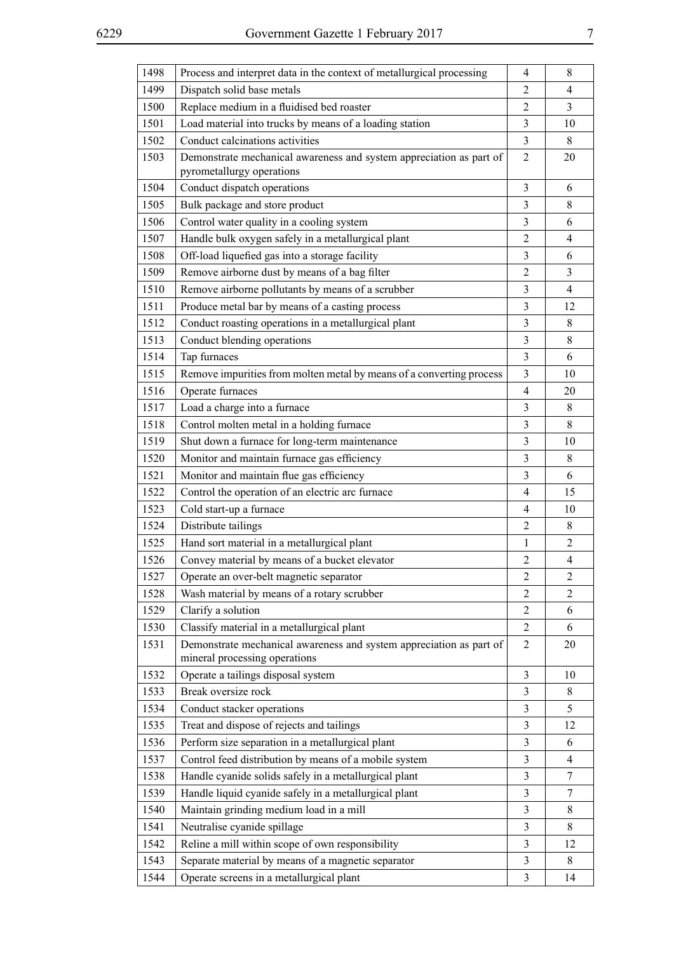| 1498 | Process and interpret data in the context of metallurgical processing                                | $\overline{4}$ | 8              |
|------|------------------------------------------------------------------------------------------------------|----------------|----------------|
| 1499 | Dispatch solid base metals                                                                           | $\overline{2}$ | 4              |
| 1500 | Replace medium in a fluidised bed roaster                                                            | $\overline{c}$ | 3              |
| 1501 | Load material into trucks by means of a loading station                                              | 3              | 10             |
| 1502 | Conduct calcinations activities                                                                      | $\overline{3}$ | 8              |
| 1503 | Demonstrate mechanical awareness and system appreciation as part of<br>pyrometallurgy operations     | $\overline{2}$ | 20             |
| 1504 | Conduct dispatch operations                                                                          | $\overline{3}$ | 6              |
| 1505 | Bulk package and store product                                                                       | 3              | 8              |
| 1506 | Control water quality in a cooling system                                                            | 3              | 6              |
| 1507 | Handle bulk oxygen safely in a metallurgical plant                                                   | $\overline{2}$ | 4              |
| 1508 | Off-load liquefied gas into a storage facility                                                       | 3              | 6              |
| 1509 | Remove airborne dust by means of a bag filter                                                        | $\overline{2}$ | 3              |
| 1510 | Remove airborne pollutants by means of a scrubber                                                    | 3              | $\overline{4}$ |
| 1511 | Produce metal bar by means of a casting process                                                      | $\overline{3}$ | 12             |
| 1512 | Conduct roasting operations in a metallurgical plant                                                 | $\mathfrak{Z}$ | 8              |
| 1513 | Conduct blending operations                                                                          | $\overline{3}$ | 8              |
| 1514 | Tap furnaces                                                                                         | 3              | 6              |
| 1515 | Remove impurities from molten metal by means of a converting process                                 | $\overline{3}$ | 10             |
| 1516 | Operate furnaces                                                                                     | $\overline{4}$ | 20             |
| 1517 | Load a charge into a furnace                                                                         | $\overline{3}$ | 8              |
| 1518 | Control molten metal in a holding furnace                                                            | $\mathfrak{Z}$ | 8              |
| 1519 | Shut down a furnace for long-term maintenance                                                        | $\overline{3}$ | 10             |
| 1520 | Monitor and maintain furnace gas efficiency                                                          | 3              | 8              |
| 1521 | Monitor and maintain flue gas efficiency                                                             | 3              | 6              |
| 1522 | Control the operation of an electric arc furnace                                                     | $\overline{4}$ | 15             |
| 1523 | Cold start-up a furnace                                                                              | $\overline{4}$ | 10             |
| 1524 | Distribute tailings                                                                                  | $\overline{2}$ | 8              |
| 1525 | Hand sort material in a metallurgical plant                                                          | $\mathbf{1}$   | $\overline{2}$ |
| 1526 | Convey material by means of a bucket elevator                                                        | $\sqrt{2}$     | $\overline{4}$ |
| 1527 | Operate an over-belt magnetic separator                                                              | $\overline{2}$ | $\overline{c}$ |
| 1528 | Wash material by means of a rotary scrubber                                                          | 2              | $\overline{2}$ |
| 1529 | Clarify a solution                                                                                   | $\overline{2}$ | 6              |
| 1530 | Classify material in a metallurgical plant                                                           | $\overline{2}$ | 6              |
| 1531 | Demonstrate mechanical awareness and system appreciation as part of<br>mineral processing operations | $\overline{2}$ | 20             |
| 1532 | Operate a tailings disposal system                                                                   | 3              | 10             |
| 1533 | Break oversize rock                                                                                  | 3              | 8              |
| 1534 | Conduct stacker operations                                                                           | 3              | 5              |
| 1535 | Treat and dispose of rejects and tailings                                                            | 3              | 12             |
| 1536 | Perform size separation in a metallurgical plant                                                     | 3              | 6              |
| 1537 | Control feed distribution by means of a mobile system                                                | 3              | $\overline{4}$ |
| 1538 | Handle cyanide solids safely in a metallurgical plant                                                | 3              | 7              |
| 1539 | Handle liquid cyanide safely in a metallurgical plant                                                | 3              | 7              |
| 1540 | Maintain grinding medium load in a mill                                                              | 3              | 8              |
| 1541 | Neutralise cyanide spillage                                                                          | 3              | 8              |
| 1542 | Reline a mill within scope of own responsibility                                                     | 3              | 12             |
| 1543 | Separate material by means of a magnetic separator                                                   | 3              | 8              |
| 1544 | Operate screens in a metallurgical plant                                                             | 3              | 14             |